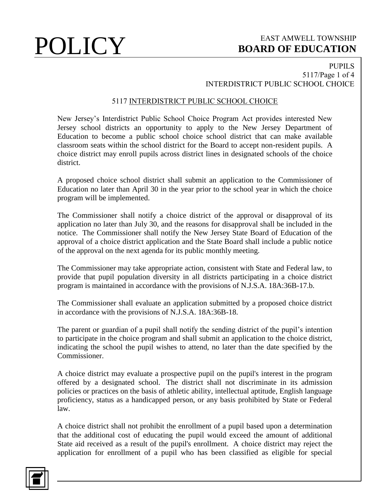### PUPILS 5117/Page 1 of 4 INTERDISTRICT PUBLIC SCHOOL CHOICE

### 5117 INTERDISTRICT PUBLIC SCHOOL CHOICE

New Jersey's Interdistrict Public School Choice Program Act provides interested New Jersey school districts an opportunity to apply to the New Jersey Department of Education to become a public school choice school district that can make available classroom seats within the school district for the Board to accept non-resident pupils. A choice district may enroll pupils across district lines in designated schools of the choice district.

A proposed choice school district shall submit an application to the Commissioner of Education no later than April 30 in the year prior to the school year in which the choice program will be implemented.

The Commissioner shall notify a choice district of the approval or disapproval of its application no later than July 30, and the reasons for disapproval shall be included in the notice. The Commissioner shall notify the New Jersey State Board of Education of the approval of a choice district application and the State Board shall include a public notice of the approval on the next agenda for its public monthly meeting.

The Commissioner may take appropriate action, consistent with State and Federal law, to provide that pupil population diversity in all districts participating in a choice district program is maintained in accordance with the provisions of N.J.S.A. 18A:36B-17.b.

The Commissioner shall evaluate an application submitted by a proposed choice district in accordance with the provisions of N.J.S.A. 18A:36B-18.

The parent or guardian of a pupil shall notify the sending district of the pupil's intention to participate in the choice program and shall submit an application to the choice district, indicating the school the pupil wishes to attend, no later than the date specified by the Commissioner.

A choice district may evaluate a prospective pupil on the pupil's interest in the program offered by a designated school. The district shall not discriminate in its admission policies or practices on the basis of athletic ability, intellectual aptitude, English language proficiency, status as a handicapped person, or any basis prohibited by State or Federal law.

A choice district shall not prohibit the enrollment of a pupil based upon a determination that the additional cost of educating the pupil would exceed the amount of additional State aid received as a result of the pupil's enrollment. A choice district may reject the application for enrollment of a pupil who has been classified as eligible for special

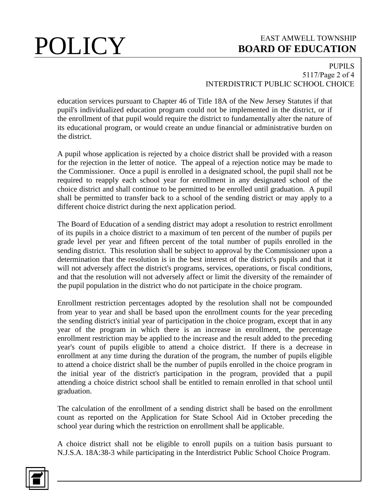### PUPILS 5117/Page 2 of 4 INTERDISTRICT PUBLIC SCHOOL CHOICE

education services pursuant to Chapter 46 of Title 18A of the New Jersey Statutes if that pupil's individualized education program could not be implemented in the district, or if the enrollment of that pupil would require the district to fundamentally alter the nature of its educational program, or would create an undue financial or administrative burden on the district.

A pupil whose application is rejected by a choice district shall be provided with a reason for the rejection in the letter of notice. The appeal of a rejection notice may be made to the Commissioner. Once a pupil is enrolled in a designated school, the pupil shall not be required to reapply each school year for enrollment in any designated school of the choice district and shall continue to be permitted to be enrolled until graduation. A pupil shall be permitted to transfer back to a school of the sending district or may apply to a different choice district during the next application period.

The Board of Education of a sending district may adopt a resolution to restrict enrollment of its pupils in a choice district to a maximum of ten percent of the number of pupils per grade level per year and fifteen percent of the total number of pupils enrolled in the sending district. This resolution shall be subject to approval by the Commissioner upon a determination that the resolution is in the best interest of the district's pupils and that it will not adversely affect the district's programs, services, operations, or fiscal conditions, and that the resolution will not adversely affect or limit the diversity of the remainder of the pupil population in the district who do not participate in the choice program.

Enrollment restriction percentages adopted by the resolution shall not be compounded from year to year and shall be based upon the enrollment counts for the year preceding the sending district's initial year of participation in the choice program, except that in any year of the program in which there is an increase in enrollment, the percentage enrollment restriction may be applied to the increase and the result added to the preceding year's count of pupils eligible to attend a choice district. If there is a decrease in enrollment at any time during the duration of the program, the number of pupils eligible to attend a choice district shall be the number of pupils enrolled in the choice program in the initial year of the district's participation in the program, provided that a pupil attending a choice district school shall be entitled to remain enrolled in that school until graduation.

The calculation of the enrollment of a sending district shall be based on the enrollment count as reported on the Application for State School Aid in October preceding the school year during which the restriction on enrollment shall be applicable.

A choice district shall not be eligible to enroll pupils on a tuition basis pursuant to N.J.S.A. 18A:38-3 while participating in the Interdistrict Public School Choice Program.

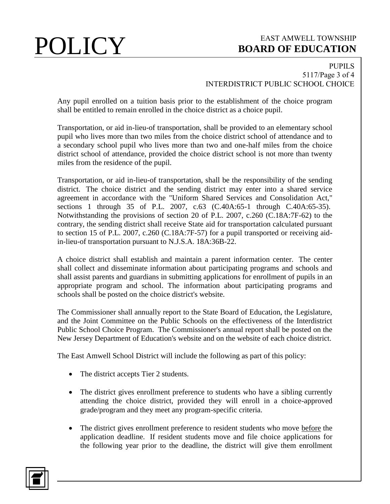### PUPILS 5117/Page 3 of 4 INTERDISTRICT PUBLIC SCHOOL CHOICE

Any pupil enrolled on a tuition basis prior to the establishment of the choice program shall be entitled to remain enrolled in the choice district as a choice pupil.

Transportation, or aid in-lieu-of transportation, shall be provided to an elementary school pupil who lives more than two miles from the choice district school of attendance and to a secondary school pupil who lives more than two and one-half miles from the choice district school of attendance, provided the choice district school is not more than twenty miles from the residence of the pupil.

Transportation, or aid in-lieu-of transportation, shall be the responsibility of the sending district. The choice district and the sending district may enter into a shared service agreement in accordance with the "Uniform Shared Services and Consolidation Act," sections 1 through 35 of P.L. 2007, c.63 (C.40A:65-1 through C.40A:65-35). Notwithstanding the provisions of section 20 of P.L. 2007, c.260 (C.18A:7F-62) to the contrary, the sending district shall receive State aid for transportation calculated pursuant to section 15 of P.L. 2007, c.260 (C.18A:7F-57) for a pupil transported or receiving aidin-lieu-of transportation pursuant to N.J.S.A. 18A:36B-22.

A choice district shall establish and maintain a parent information center. The center shall collect and disseminate information about participating programs and schools and shall assist parents and guardians in submitting applications for enrollment of pupils in an appropriate program and school. The information about participating programs and schools shall be posted on the choice district's website.

The Commissioner shall annually report to the State Board of Education, the Legislature, and the Joint Committee on the Public Schools on the effectiveness of the Interdistrict Public School Choice Program. The Commissioner's annual report shall be posted on the New Jersey Department of Education's website and on the website of each choice district.

The East Amwell School District will include the following as part of this policy:

- The district accepts Tier 2 students.
- The district gives enrollment preference to students who have a sibling currently attending the choice district, provided they will enroll in a choice-approved grade/program and they meet any program-specific criteria.
- The district gives enrollment preference to resident students who move before the application deadline. If resident students move and file choice applications for the following year prior to the deadline, the district will give them enrollment